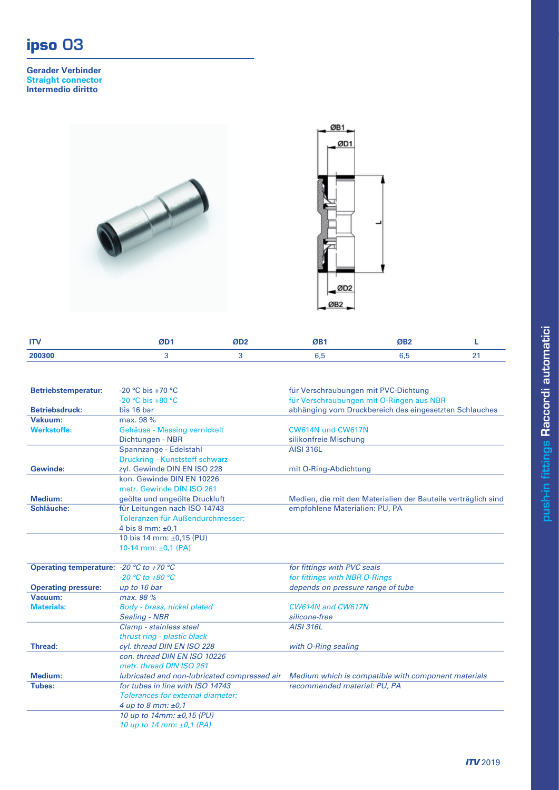## **ipso** 03

**Gerader Verbinder Straight connector Intermedio diritto**





| <b>ITN</b><br>. . |  | <b>MD-</b> |   |
|-------------------|--|------------|---|
| 200300            |  |            | - |
|                   |  |            |   |

| <b>Betriebstemperatur:</b>                                | $-20$ °C bis $+70$ °C                        | für Verschraubungen mit PVC-Dichtung                          |
|-----------------------------------------------------------|----------------------------------------------|---------------------------------------------------------------|
|                                                           | $-20$ °C bis $+80$ °C                        | für Verschraubungen mit O-Ringen aus NBR                      |
| <b>Betriebsdruck:</b>                                     | bis 16 bar                                   | abhänging vom Druckbereich des eingesetzten Schlauches        |
| Vakuum:                                                   | max. 98 %                                    |                                                               |
| <b>Werkstoffe:</b>                                        | Gehäuse - Messing vernickelt                 | CW614N und CW617N                                             |
|                                                           | Dichtungen - NBR                             | silikonfreie Mischung                                         |
|                                                           | Spannzange - Edelstahl                       | <b>AISI 316L</b>                                              |
|                                                           | Druckring - Kunststoff schwarz               |                                                               |
| <b>Gewinde:</b>                                           | zyl. Gewinde DIN EN ISO 228                  | mit O-Ring-Abdichtung                                         |
|                                                           | kon. Gewinde DIN EN 10226                    |                                                               |
|                                                           | metr. Gewinde DIN ISO 261                    |                                                               |
| Medium:                                                   | geölte und ungeölte Druckluft                | Medien, die mit den Materialien der Bauteile verträglich sind |
| Schläuche:                                                | für Leitungen nach ISO 14743                 | empfohlene Materialien: PU, PA                                |
|                                                           | Toleranzen für Außendurchmesser:             |                                                               |
|                                                           | 4 bis 8 mm: $±0.1$                           |                                                               |
|                                                           | 10 bis 14 mm: ±0,15 (PU)                     |                                                               |
|                                                           | 10-14 mm: $\pm 0.1$ (PA)                     |                                                               |
|                                                           |                                              |                                                               |
| Operating temperature: -20 $\degree$ C to +70 $\degree$ C |                                              | for fittings with PVC seals                                   |
|                                                           | $-20 °C$ to $+80 °C$                         | for fittings with NBR O-Rings                                 |
| <b>Operating pressure:</b>                                | up to 16 bar                                 | depends on pressure range of tube                             |
| Vacuum:                                                   | max. 98 %                                    |                                                               |
| <b>Materials:</b>                                         | Body - brass, nickel plated                  | CW614N and CW617N                                             |
|                                                           | <b>Sealing - NBR</b>                         | silicone-free                                                 |
|                                                           | Clamp - stainless steel                      | <b>AISI 316L</b>                                              |
|                                                           | thrust ring - plastic black                  |                                                               |
| <b>Thread:</b>                                            | cyl. thread DIN EN ISO 228                   | with O-Ring sealing                                           |
|                                                           | con, thread DIN EN ISO 10226                 |                                                               |
|                                                           | metr. thread DIN ISO 261                     |                                                               |
| Medium:                                                   | lubricated and non-lubricated compressed air | Medium which is compatible with component materials           |
| Tubes:                                                    | for tubes in line with ISO 14743             | recommended material: PU, PA                                  |
|                                                           | <b>Tolerances for external diameter:</b>     |                                                               |
|                                                           | 4 up to 8 mm: $\pm 0.1$                      |                                                               |
|                                                           | 10 up to 14mm: ±0,15 (PU)                    |                                                               |
|                                                           | 10 up to 14 mm: $\pm 0.1$ (PA)               |                                                               |